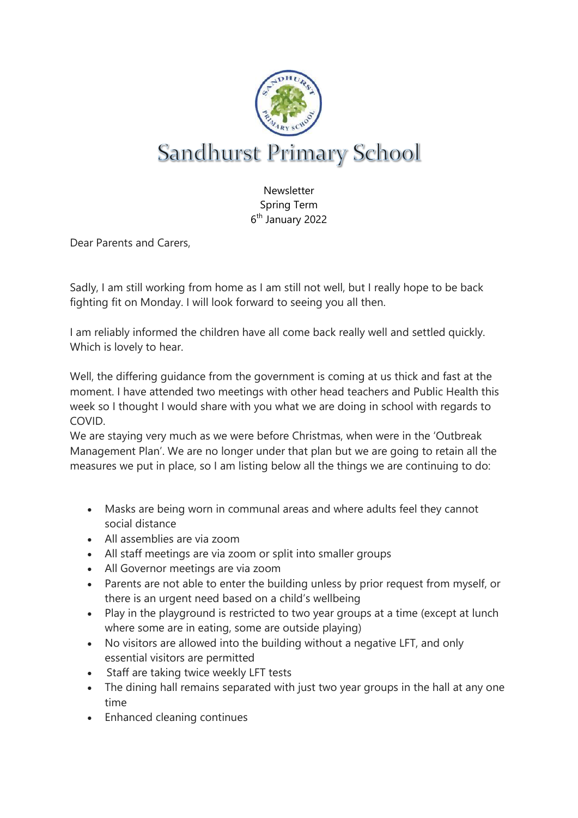

Newsletter Spring Term 6<sup>th</sup> January 2022

Dear Parents and Carers,

Sadly, I am still working from home as I am still not well, but I really hope to be back fighting fit on Monday. I will look forward to seeing you all then.

I am reliably informed the children have all come back really well and settled quickly. Which is lovely to hear.

Well, the differing guidance from the government is coming at us thick and fast at the moment. I have attended two meetings with other head teachers and Public Health this week so I thought I would share with you what we are doing in school with regards to COVID.

We are staying very much as we were before Christmas, when were in the 'Outbreak Management Plan'. We are no longer under that plan but we are going to retain all the measures we put in place, so I am listing below all the things we are continuing to do:

- Masks are being worn in communal areas and where adults feel they cannot social distance
- All assemblies are via zoom
- All staff meetings are via zoom or split into smaller groups
- All Governor meetings are via zoom
- Parents are not able to enter the building unless by prior request from myself, or there is an urgent need based on a child's wellbeing
- Play in the playground is restricted to two year groups at a time (except at lunch where some are in eating, some are outside playing)
- No visitors are allowed into the building without a negative LFT, and only essential visitors are permitted
- Staff are taking twice weekly LFT tests
- The dining hall remains separated with just two year groups in the hall at any one time
- Enhanced cleaning continues